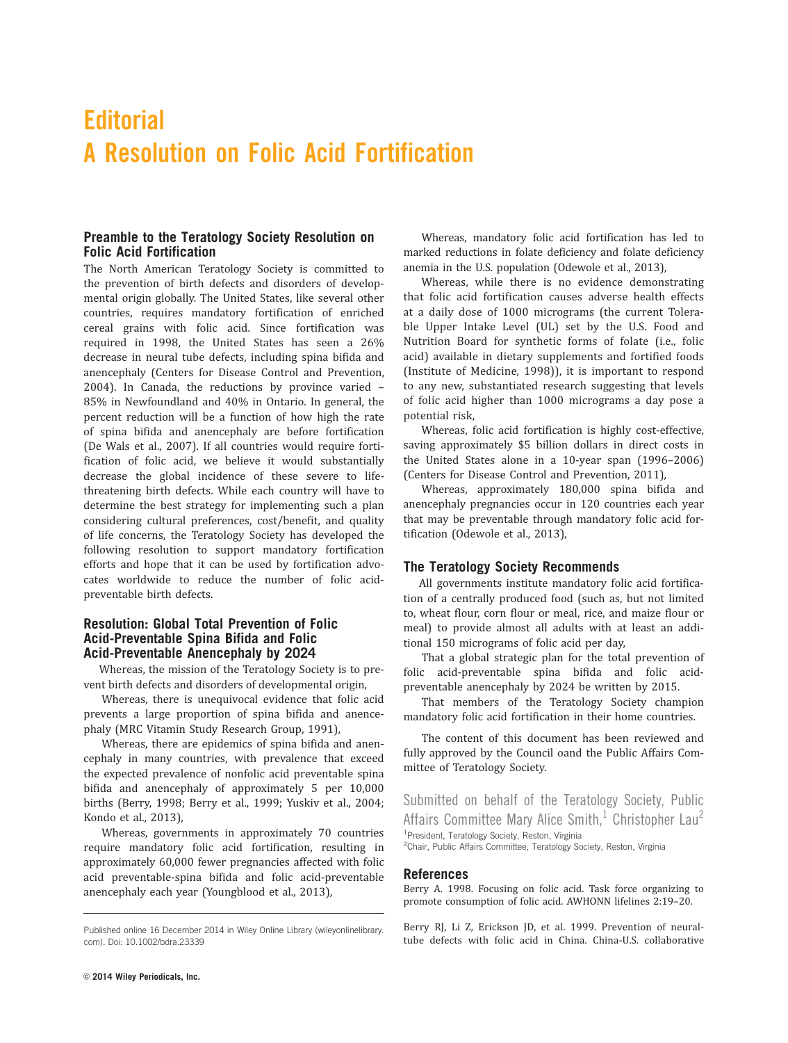# **Editorial** A Resolution on Folic Acid Fortification

### Preamble to the Teratology Society Resolution on Folic Acid Fortification

The North American Teratology Society is committed to the prevention of birth defects and disorders of developmental origin globally. The United States, like several other countries, requires mandatory fortification of enriched cereal grains with folic acid. Since fortification was required in 1998, the United States has seen a 26% decrease in neural tube defects, including spina bifida and anencephaly (Centers for Disease Control and Prevention, 2004). In Canada, the reductions by province varied – 85% in Newfoundland and 40% in Ontario. In general, the percent reduction will be a function of how high the rate of spina bifida and anencephaly are before fortification (De Wals et al., 2007). If all countries would require fortification of folic acid, we believe it would substantially decrease the global incidence of these severe to lifethreatening birth defects. While each country will have to determine the best strategy for implementing such a plan considering cultural preferences, cost/benefit, and quality of life concerns, the Teratology Society has developed the following resolution to support mandatory fortification efforts and hope that it can be used by fortification advocates worldwide to reduce the number of folic acidpreventable birth defects.

## Resolution: Global Total Prevention of Folic Acid-Preventable Spina Bifida and Folic Acid-Preventable Anencephaly by 2024

Whereas, the mission of the Teratology Society is to prevent birth defects and disorders of developmental origin,

Whereas, there is unequivocal evidence that folic acid prevents a large proportion of spina bifida and anencephaly (MRC Vitamin Study Research Group, 1991),

Whereas, there are epidemics of spina bifida and anencephaly in many countries, with prevalence that exceed the expected prevalence of nonfolic acid preventable spina bifida and anencephaly of approximately 5 per 10,000 births (Berry, 1998; Berry et al., 1999; Yuskiv et al., 2004; Kondo et al., 2013),

Whereas, governments in approximately 70 countries require mandatory folic acid fortification, resulting in approximately 60,000 fewer pregnancies affected with folic acid preventable-spina bifida and folic acid-preventable anencephaly each year (Youngblood et al., 2013),

Whereas, mandatory folic acid fortification has led to marked reductions in folate deficiency and folate deficiency anemia in the U.S. population (Odewole et al., 2013),

Whereas, while there is no evidence demonstrating that folic acid fortification causes adverse health effects at a daily dose of 1000 micrograms (the current Tolerable Upper Intake Level (UL) set by the U.S. Food and Nutrition Board for synthetic forms of folate (i.e., folic acid) available in dietary supplements and fortified foods (Institute of Medicine, 1998)), it is important to respond to any new, substantiated research suggesting that levels of folic acid higher than 1000 micrograms a day pose a potential risk,

Whereas, folic acid fortification is highly cost-effective, saving approximately \$5 billion dollars in direct costs in the United States alone in a 10-year span (1996–2006) (Centers for Disease Control and Prevention, 2011),

Whereas, approximately 180,000 spina bifida and anencephaly pregnancies occur in 120 countries each year that may be preventable through mandatory folic acid fortification (Odewole et al., 2013),

#### The Teratology Society Recommends

All governments institute mandatory folic acid fortification of a centrally produced food (such as, but not limited to, wheat flour, corn flour or meal, rice, and maize flour or meal) to provide almost all adults with at least an additional 150 micrograms of folic acid per day,

That a global strategic plan for the total prevention of folic acid-preventable spina bifida and folic acidpreventable anencephaly by 2024 be written by 2015.

That members of the Teratology Society champion mandatory folic acid fortification in their home countries.

The content of this document has been reviewed and fully approved by the Council oand the Public Affairs Committee of Teratology Society.

Submitted on behalf of the Teratology Society, Public Affairs Committee Mary Alice Smith, $1$  Christopher Lau<sup>2</sup> <sup>1</sup>President, Teratology Society, Reston, Virginia

<sup>2</sup>Chair, Public Affairs Committee, Teratology Society, Reston, Virginia

#### References

Berry A. 1998. Focusing on folic acid. Task force organizing to promote consumption of folic acid. AWHONN lifelines 2:19–20.

Berry RJ, Li Z, Erickson JD, et al. 1999. Prevention of neuraltube defects with folic acid in China. China-U.S. collaborative

Published online 16 December 2014 in Wiley Online Library (wileyonlinelibrary. com). Doi: 10.1002/bdra.23339